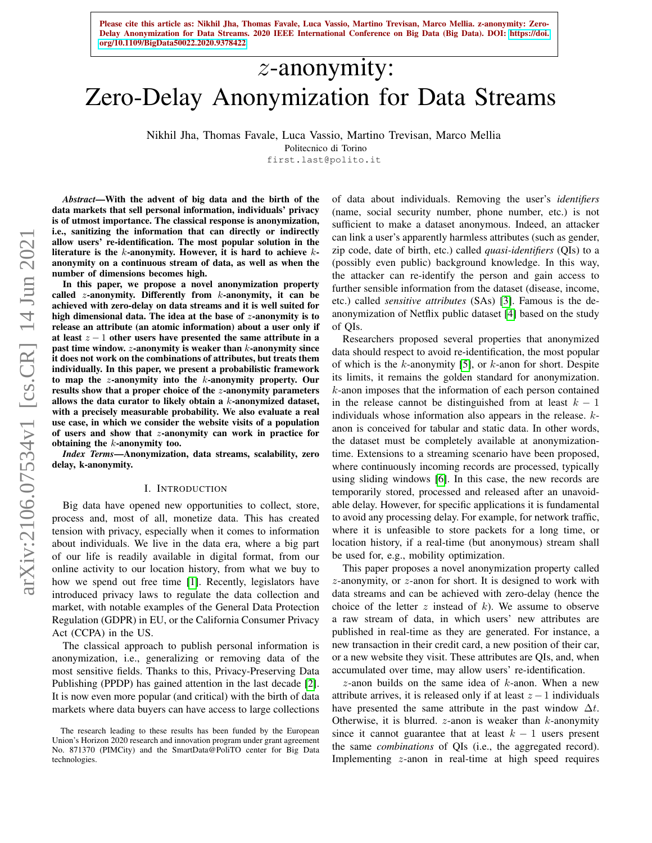# z-anonymity: Zero-Delay Anonymization for Data Streams

Nikhil Jha, Thomas Favale, Luca Vassio, Martino Trevisan, Marco Mellia

Politecnico di Torino

first.last@polito.it

*Abstract*—With the advent of big data and the birth of the data markets that sell personal information, individuals' privacy is of utmost importance. The classical response is anonymization, i.e., sanitizing the information that can directly or indirectly allow users' re-identification. The most popular solution in the literature is the  $k$ -anonymity. However, it is hard to achieve  $k$ anonymity on a continuous stream of data, as well as when the number of dimensions becomes high.

In this paper, we propose a novel anonymization property called *z*-anonymity. Differently from  $k$ -anonymity, it can be achieved with zero-delay on data streams and it is well suited for high dimensional data. The idea at the base of  $z$ -anonymity is to release an attribute (an atomic information) about a user only if at least  $z - 1$  other users have presented the same attribute in a past time window.  $z$ -anonymity is weaker than  $k$ -anonymity since it does not work on the combinations of attributes, but treats them individually. In this paper, we present a probabilistic framework to map the  $z$ -anonymity into the  $k$ -anonymity property. Our results show that a proper choice of the z-anonymity parameters allows the data curator to likely obtain a  $k$ -anonymized dataset, with a precisely measurable probability. We also evaluate a real use case, in which we consider the website visits of a population of users and show that z-anonymity can work in practice for obtaining the  $k$ -anonymity too.

*Index Terms*—Anonymization, data streams, scalability, zero delay, k-anonymity.

#### I. INTRODUCTION

Big data have opened new opportunities to collect, store, process and, most of all, monetize data. This has created tension with privacy, especially when it comes to information about individuals. We live in the data era, where a big part of our life is readily available in digital format, from our online activity to our location history, from what we buy to how we spend out free time [\[1\]](#page-9-0). Recently, legislators have introduced privacy laws to regulate the data collection and market, with notable examples of the General Data Protection Regulation (GDPR) in EU, or the California Consumer Privacy Act (CCPA) in the US.

The classical approach to publish personal information is anonymization, i.e., generalizing or removing data of the most sensitive fields. Thanks to this, Privacy-Preserving Data Publishing (PPDP) has gained attention in the last decade [\[2\]](#page-9-1). It is now even more popular (and critical) with the birth of data markets where data buyers can have access to large collections of data about individuals. Removing the user's *identifiers* (name, social security number, phone number, etc.) is not sufficient to make a dataset anonymous. Indeed, an attacker can link a user's apparently harmless attributes (such as gender, zip code, date of birth, etc.) called *quasi-identifiers* (QIs) to a (possibly even public) background knowledge. In this way, the attacker can re-identify the person and gain access to further sensible information from the dataset (disease, income, etc.) called *sensitive attributes* (SAs) [\[3\]](#page-9-2). Famous is the deanonymization of Netflix public dataset [\[4\]](#page-9-3) based on the study of QIs.

Researchers proposed several properties that anonymized data should respect to avoid re-identification, the most popular of which is the k-anonymity [\[5\]](#page-9-4), or  $k$ -anon for short. Despite its limits, it remains the golden standard for anonymization. k-anon imposes that the information of each person contained in the release cannot be distinguished from at least  $k - 1$ individuals whose information also appears in the release. kanon is conceived for tabular and static data. In other words, the dataset must be completely available at anonymizationtime. Extensions to a streaming scenario have been proposed, where continuously incoming records are processed, typically using sliding windows [\[6\]](#page-9-5). In this case, the new records are temporarily stored, processed and released after an unavoidable delay. However, for specific applications it is fundamental to avoid any processing delay. For example, for network traffic, where it is unfeasible to store packets for a long time, or location history, if a real-time (but anonymous) stream shall be used for, e.g., mobility optimization.

This paper proposes a novel anonymization property called z-anonymity, or z-anon for short. It is designed to work with data streams and can be achieved with zero-delay (hence the choice of the letter z instead of  $k$ ). We assume to observe a raw stream of data, in which users' new attributes are published in real-time as they are generated. For instance, a new transaction in their credit card, a new position of their car, or a new website they visit. These attributes are QIs, and, when accumulated over time, may allow users' re-identification.

 $z$ -anon builds on the same idea of  $k$ -anon. When a new attribute arrives, it is released only if at least  $z - 1$  individuals have presented the same attribute in the past window  $\Delta t$ . Otherwise, it is blurred.  $z$ -anon is weaker than  $k$ -anonymity since it cannot guarantee that at least  $k - 1$  users present the same *combinations* of QIs (i.e., the aggregated record). Implementing z-anon in real-time at high speed requires

The research leading to these results has been funded by the European Union's Horizon 2020 research and innovation program under grant agreement No. 871370 (PIMCity) and the SmartData@PoliTO center for Big Data technologies.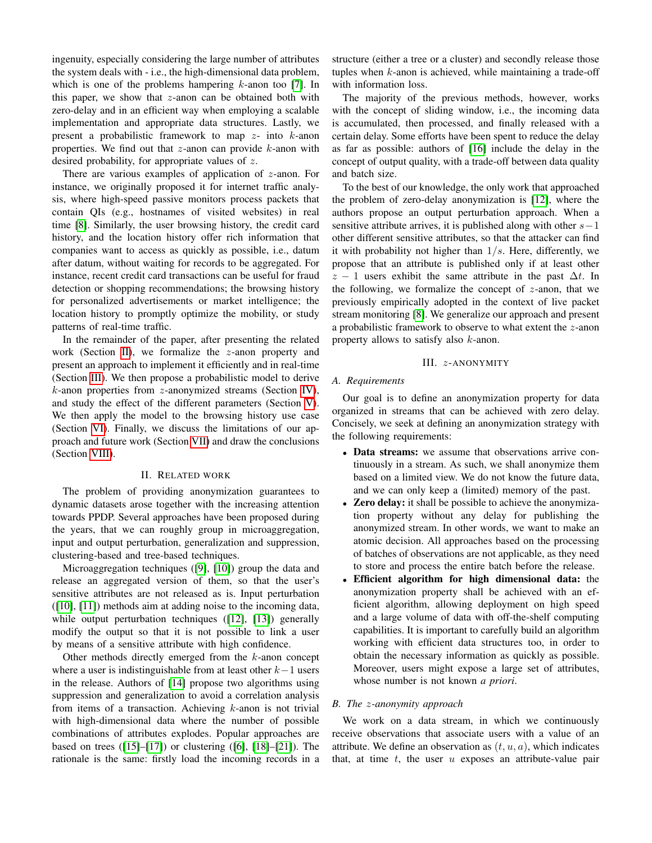ingenuity, especially considering the large number of attributes the system deals with - i.e., the high-dimensional data problem, which is one of the problems hampering  $k$ -anon too [\[7\]](#page-9-6). In this paper, we show that  $z$ -anon can be obtained both with zero-delay and in an efficient way when employing a scalable implementation and appropriate data structures. Lastly, we present a probabilistic framework to map  $z$ - into  $k$ -anon properties. We find out that  $z$ -anon can provide  $k$ -anon with desired probability, for appropriate values of z.

There are various examples of application of z-anon. For instance, we originally proposed it for internet traffic analysis, where high-speed passive monitors process packets that contain QIs (e.g., hostnames of visited websites) in real time [\[8\]](#page-9-7). Similarly, the user browsing history, the credit card history, and the location history offer rich information that companies want to access as quickly as possible, i.e., datum after datum, without waiting for records to be aggregated. For instance, recent credit card transactions can be useful for fraud detection or shopping recommendations; the browsing history for personalized advertisements or market intelligence; the location history to promptly optimize the mobility, or study patterns of real-time traffic.

In the remainder of the paper, after presenting the related work (Section [II\)](#page-1-0), we formalize the z-anon property and present an approach to implement it efficiently and in real-time (Section [III\)](#page-1-1). We then propose a probabilistic model to derive  $k$ -anon properties from  $z$ -anonymized streams (Section [IV\)](#page-3-0), and study the effect of the different parameters (Section [V\)](#page-4-0). We then apply the model to the browsing history use case (Section [VI\)](#page-7-0). Finally, we discuss the limitations of our approach and future work (Section [VII\)](#page-8-0) and draw the conclusions (Section [VIII\)](#page-9-8).

# II. RELATED WORK

<span id="page-1-0"></span>The problem of providing anonymization guarantees to dynamic datasets arose together with the increasing attention towards PPDP. Several approaches have been proposed during the years, that we can roughly group in microaggregation, input and output perturbation, generalization and suppression, clustering-based and tree-based techniques.

Microaggregation techniques ([\[9\]](#page-9-9), [\[10\]](#page-9-10)) group the data and release an aggregated version of them, so that the user's sensitive attributes are not released as is. Input perturbation ([\[10\]](#page-9-10), [\[11\]](#page-9-11)) methods aim at adding noise to the incoming data, while output perturbation techniques ([\[12\]](#page-9-12), [\[13\]](#page-9-13)) generally modify the output so that it is not possible to link a user by means of a sensitive attribute with high confidence.

Other methods directly emerged from the  $k$ -anon concept where a user is indistinguishable from at least other  $k-1$  users in the release. Authors of [\[14\]](#page-9-14) propose two algorithms using suppression and generalization to avoid a correlation analysis from items of a transaction. Achieving  $k$ -anon is not trivial with high-dimensional data where the number of possible combinations of attributes explodes. Popular approaches are based on trees  $([15]–[17])$  $([15]–[17])$  $([15]–[17])$  $([15]–[17])$  $([15]–[17])$  or clustering  $([6], [18]–[21])$  $([6], [18]–[21])$  $([6], [18]–[21])$  $([6], [18]–[21])$  $([6], [18]–[21])$  $([6], [18]–[21])$  $([6], [18]–[21])$ . The rationale is the same: firstly load the incoming records in a structure (either a tree or a cluster) and secondly release those tuples when  $k$ -anon is achieved, while maintaining a trade-off with information loss.

The majority of the previous methods, however, works with the concept of sliding window, i.e., the incoming data is accumulated, then processed, and finally released with a certain delay. Some efforts have been spent to reduce the delay as far as possible: authors of [\[16\]](#page-9-19) include the delay in the concept of output quality, with a trade-off between data quality and batch size.

To the best of our knowledge, the only work that approached the problem of zero-delay anonymization is [\[12\]](#page-9-12), where the authors propose an output perturbation approach. When a sensitive attribute arrives, it is published along with other  $s-1$ other different sensitive attributes, so that the attacker can find it with probability not higher than  $1/s$ . Here, differently, we propose that an attribute is published only if at least other  $z - 1$  users exhibit the same attribute in the past  $\Delta t$ . In the following, we formalize the concept of  $z$ -anon, that we previously empirically adopted in the context of live packet stream monitoring [\[8\]](#page-9-7). We generalize our approach and present a probabilistic framework to observe to what extent the z-anon property allows to satisfy also k-anon.

$$
III. \ z-ANONYMITY
$$

#### <span id="page-1-1"></span>*A. Requirements*

Our goal is to define an anonymization property for data organized in streams that can be achieved with zero delay. Concisely, we seek at defining an anonymization strategy with the following requirements:

- Data streams: we assume that observations arrive continuously in a stream. As such, we shall anonymize them based on a limited view. We do not know the future data, and we can only keep a (limited) memory of the past.
- Zero delay: it shall be possible to achieve the anonymization property without any delay for publishing the anonymized stream. In other words, we want to make an atomic decision. All approaches based on the processing of batches of observations are not applicable, as they need to store and process the entire batch before the release.
- Efficient algorithm for high dimensional data: the anonymization property shall be achieved with an efficient algorithm, allowing deployment on high speed and a large volume of data with off-the-shelf computing capabilities. It is important to carefully build an algorithm working with efficient data structures too, in order to obtain the necessary information as quickly as possible. Moreover, users might expose a large set of attributes, whose number is not known *a priori*.

## *B. The* z*-anonymity approach*

We work on a data stream, in which we continuously receive observations that associate users with a value of an attribute. We define an observation as  $(t, u, a)$ , which indicates that, at time  $t$ , the user  $u$  exposes an attribute-value pair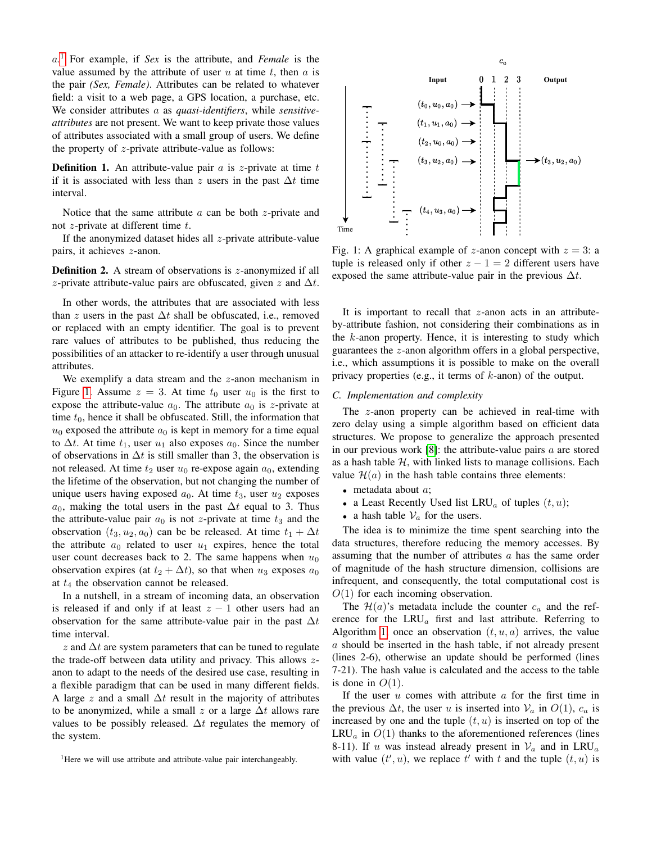a. [1](#page-2-0) For example, if *Sex* is the attribute, and *Female* is the value assumed by the attribute of user  $u$  at time  $t$ , then  $a$  is the pair *(Sex, Female)*. Attributes can be related to whatever field: a visit to a web page, a GPS location, a purchase, etc. We consider attributes a as *quasi-identifiers*, while *sensitiveattributes* are not present. We want to keep private those values of attributes associated with a small group of users. We define the property of  $z$ -private attribute-value as follows:

**Definition 1.** An attribute-value pair  $\alpha$  is z-private at time  $t$ if it is associated with less than z users in the past  $\Delta t$  time interval.

Notice that the same attribute  $a$  can be both  $z$ -private and not  $z$ -private at different time  $t$ .

If the anonymized dataset hides all  $z$ -private attribute-value pairs, it achieves z-anon.

**Definition 2.** A stream of observations is  $z$ -anonymized if all z-private attribute-value pairs are obfuscated, given z and  $\Delta t$ .

In other words, the attributes that are associated with less than z users in the past  $\Delta t$  shall be obfuscated, i.e., removed or replaced with an empty identifier. The goal is to prevent rare values of attributes to be published, thus reducing the possibilities of an attacker to re-identify a user through unusual attributes.

We exemplify a data stream and the  $z$ -anon mechanism in Figure [1.](#page-2-1) Assume  $z = 3$ . At time  $t_0$  user  $u_0$  is the first to expose the attribute-value  $a_0$ . The attribute  $a_0$  is z-private at time  $t_0$ , hence it shall be obfuscated. Still, the information that  $u_0$  exposed the attribute  $a_0$  is kept in memory for a time equal to  $\Delta t$ . At time  $t_1$ , user  $u_1$  also exposes  $a_0$ . Since the number of observations in  $\Delta t$  is still smaller than 3, the observation is not released. At time  $t_2$  user  $u_0$  re-expose again  $a_0$ , extending the lifetime of the observation, but not changing the number of unique users having exposed  $a_0$ . At time  $t_3$ , user  $u_2$  exposes  $a_0$ , making the total users in the past  $\Delta t$  equal to 3. Thus the attribute-value pair  $a_0$  is not z-private at time  $t_3$  and the observation  $(t_3, u_2, a_0)$  can be be released. At time  $t_1 + \Delta t$ the attribute  $a_0$  related to user  $u_1$  expires, hence the total user count decreases back to 2. The same happens when  $u_0$ observation expires (at  $t_2 + \Delta t$ ), so that when  $u_3$  exposes  $a_0$ at  $t_4$  the observation cannot be released.

In a nutshell, in a stream of incoming data, an observation is released if and only if at least  $z - 1$  other users had an observation for the same attribute-value pair in the past  $\Delta t$ time interval.

z and  $\Delta t$  are system parameters that can be tuned to regulate the trade-off between data utility and privacy. This allows  $z$ anon to adapt to the needs of the desired use case, resulting in a flexible paradigm that can be used in many different fields. A large z and a small  $\Delta t$  result in the majority of attributes to be anonymized, while a small z or a large  $\Delta t$  allows rare values to be possibly released.  $\Delta t$  regulates the memory of the system.

<span id="page-2-0"></span><sup>1</sup>Here we will use attribute and attribute-value pair interchangeably.

<span id="page-2-1"></span>

Fig. 1: A graphical example of z-anon concept with  $z = 3$ : a tuple is released only if other  $z - 1 = 2$  different users have exposed the same attribute-value pair in the previous  $\Delta t$ .

It is important to recall that  $z$ -anon acts in an attributeby-attribute fashion, not considering their combinations as in the  $k$ -anon property. Hence, it is interesting to study which guarantees the z-anon algorithm offers in a global perspective, i.e., which assumptions it is possible to make on the overall privacy properties (e.g., it terms of k-anon) of the output.

#### *C. Implementation and complexity*

The z-anon property can be achieved in real-time with zero delay using a simple algorithm based on efficient data structures. We propose to generalize the approach presented in our previous work  $[8]$ : the attribute-value pairs  $a$  are stored as a hash table  $H$ , with linked lists to manage collisions. Each value  $\mathcal{H}(a)$  in the hash table contains three elements:

- $\bullet$  metadata about  $a$ ;
- a Least Recently Used list  $LRU_a$  of tuples  $(t, u)$ ;
- a hash table  $V_a$  for the users.

The idea is to minimize the time spent searching into the data structures, therefore reducing the memory accesses. By assuming that the number of attributes a has the same order of magnitude of the hash structure dimension, collisions are infrequent, and consequently, the total computational cost is  $O(1)$  for each incoming observation.

The  $\mathcal{H}(a)$ 's metadata include the counter  $c_a$  and the reference for the  $LRU_a$  first and last attribute. Referring to Algorithm [1,](#page-3-1) once an observation  $(t, u, a)$  arrives, the value a should be inserted in the hash table, if not already present (lines 2-6), otherwise an update should be performed (lines 7-21). The hash value is calculated and the access to the table is done in  $O(1)$ .

If the user  $u$  comes with attribute  $a$  for the first time in the previous  $\Delta t$ , the user u is inserted into  $\mathcal{V}_a$  in  $O(1)$ ,  $c_a$  is increased by one and the tuple  $(t, u)$  is inserted on top of the  $LRU_a$  in  $O(1)$  thanks to the aforementioned references (lines 8-11). If u was instead already present in  $V_a$  and in LRU<sub>a</sub> with value  $(t', u)$ , we replace  $t'$  with t and the tuple  $(t, u)$  is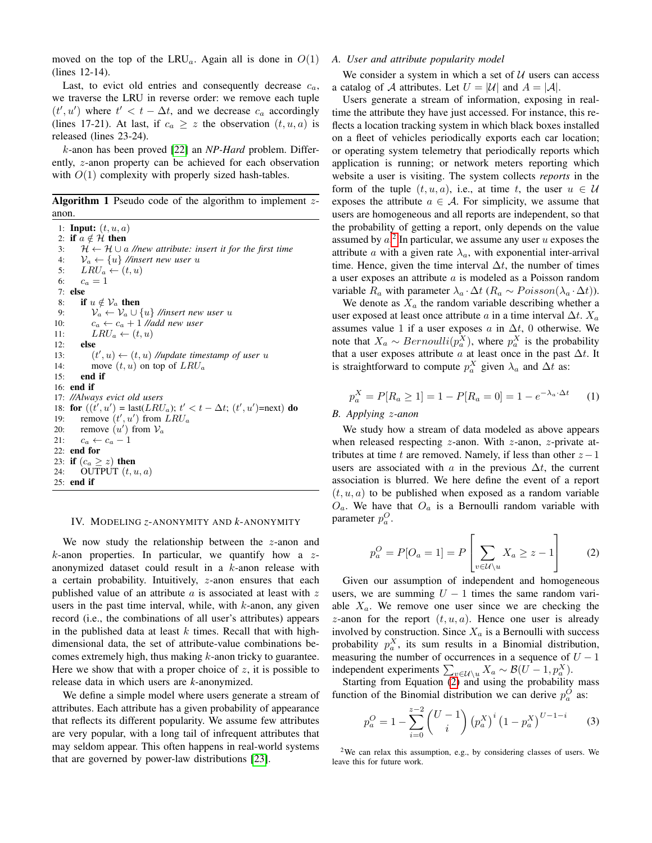moved on the top of the LRU<sub>a</sub>. Again all is done in  $O(1)$ (lines 12-14).

Last, to evict old entries and consequently decrease  $c_a$ , we traverse the LRU in reverse order: we remove each tuple  $(t', u')$  where  $t' < t - \Delta t$ , and we decrease  $c_a$  accordingly (lines 17-21). At last, if  $c_a \geq z$  the observation  $(t, u, a)$  is released (lines 23-24).

k-anon has been proved [\[22\]](#page-9-20) an *NP-Hard* problem. Differently, z-anon property can be achieved for each observation with  $O(1)$  complexity with properly sized hash-tables.

<span id="page-3-1"></span>**Algorithm 1** Pseudo code of the algorithm to implement  $z$ anon.

1: **Input:**  $(t, u, a)$ 2: if  $a \notin \mathcal{H}$  then 3:  $\mathcal{H} \leftarrow \mathcal{H} \cup a$  //new attribute: insert it for the first time 4:  $V_a \leftarrow \{u\}$  //insert new user u<br>5:  $LRU_a \leftarrow (t, u)$  $LRU_a \leftarrow (t, u)$ 6:  $c_a = 1$ 7: else 8: if  $u \notin \mathcal{V}_a$  then 9:  $V_a \leftarrow V_a \cup \{u\}$  //insert new user u 10:  $c_a \leftarrow c_a + 1$  //add new user 11:  $LRU_a \leftarrow (t, u)$ 12: else 13:  $(t', u) \leftarrow (t, u)$  //update timestamp of user u 14: move  $(t, u)$  on top of  $LRU_a$ 15: end if 16: end if 17: *//Always evict old users* 18: for  $((t', u') = \text{last}(LRU_a); t' < t - \Delta t; (t', u') = \text{next})$  do 19: remove  $(t', u')$  from  $LRU_a$ 20: remove  $(u')$  from  $v_a$ 21:  $c_a \leftarrow c_a - 1$ 22: end for 23: if  $(c_a \geq z)$  then 24: OUTPUT  $(t, u, a)$ 25: end if

#### <span id="page-3-0"></span>IV. MODELING *z*-ANONYMITY AND *k*-ANONYMITY

We now study the relationship between the z-anon and  $k$ -anon properties. In particular, we quantify how a  $z$ anonymized dataset could result in a k-anon release with a certain probability. Intuitively, z-anon ensures that each published value of an attribute  $\alpha$  is associated at least with  $z$ users in the past time interval, while, with  $k$ -anon, any given record (i.e., the combinations of all user's attributes) appears in the published data at least  $k$  times. Recall that with highdimensional data, the set of attribute-value combinations becomes extremely high, thus making k-anon tricky to guarantee. Here we show that with a proper choice of  $z$ , it is possible to release data in which users are *k*-anonymized.

We define a simple model where users generate a stream of attributes. Each attribute has a given probability of appearance that reflects its different popularity. We assume few attributes are very popular, with a long tail of infrequent attributes that may seldom appear. This often happens in real-world systems that are governed by power-law distributions [\[23\]](#page-9-21).

## <span id="page-3-4"></span>*A. User and attribute popularity model*

We consider a system in which a set of  $U$  users can access a catalog of A attributes. Let  $U = |\mathcal{U}|$  and  $A = |\mathcal{A}|$ .

Users generate a stream of information, exposing in realtime the attribute they have just accessed. For instance, this reflects a location tracking system in which black boxes installed on a fleet of vehicles periodically exports each car location; or operating system telemetry that periodically reports which application is running; or network meters reporting which website a user is visiting. The system collects *reports* in the form of the tuple  $(t, u, a)$ , i.e., at time t, the user  $u \in \mathcal{U}$ exposes the attribute  $a \in \mathcal{A}$ . For simplicity, we assume that users are homogeneous and all reports are independent, so that the probability of getting a report, only depends on the value assumed by  $a^2$  $a^2$ . In particular, we assume any user u exposes the attribute a with a given rate  $\lambda_a$ , with exponential inter-arrival time. Hence, given the time interval  $\Delta t$ , the number of times a user exposes an attribute a is modeled as a Poisson random variable  $R_a$  with parameter  $\lambda_a \cdot \Delta t$  ( $R_a \sim Poisson(\lambda_a \cdot \Delta t)$ ).

We denote as  $X_a$  the random variable describing whether a user exposed at least once attribute a in a time interval  $\Delta t$ .  $X_a$ assumes value 1 if a user exposes  $\alpha$  in  $\Delta t$ , 0 otherwise. We note that  $X_a \sim Bernoulli(p_a^X)$ , where  $p_a^X$  is the probability that a user exposes attribute  $\alpha$  at least once in the past  $\Delta t$ . It is straightforward to compute  $p_a^X$  given  $\lambda_a$  and  $\Delta t$  as:

<span id="page-3-6"></span>
$$
p_a^X = P[R_a \ge 1] = 1 - P[R_a = 0] = 1 - e^{-\lambda_a \cdot \Delta t} \tag{1}
$$

#### *B. Applying* z*-anon*

We study how a stream of data modeled as above appears when released respecting  $z$ -anon. With  $z$ -anon,  $z$ -private attributes at time t are removed. Namely, if less than other  $z-1$ users are associated with a in the previous  $\Delta t$ , the current association is blurred. We here define the event of a report  $(t, u, a)$  to be published when exposed as a random variable  $O_a$ . We have that  $O_a$  is a Bernoulli random variable with parameter  $p_a^O$ .

<span id="page-3-3"></span>
$$
p_a^O = P[O_a = 1] = P\left[\sum_{v \in \mathcal{U} \setminus u} X_a \ge z - 1\right]
$$
 (2)

Given our assumption of independent and homogeneous users, we are summing  $U - 1$  times the same random variable  $X_a$ . We remove one user since we are checking the z-anon for the report  $(t, u, a)$ . Hence one user is already involved by construction. Since  $X_a$  is a Bernoulli with success probability  $p_a^X$ , its sum results in a Binomial distribution, measuring the number of occurrences in a sequence of  $U - 1$ independent experiments  $\sum_{v \in \mathcal{U}\setminus u} X_a \sim \mathcal{B}(U - 1, p_a^X)$ .

Starting from Equation [\(2\)](#page-3-3) and using the probability mass function of the Binomial distribution we can derive  $p_a^O$  as:

<span id="page-3-5"></span>
$$
p_a^O = 1 - \sum_{i=0}^{z-2} {U-1 \choose i} (p_a^X)^i (1-p_a^X)^{U-1-i}
$$
 (3)

<span id="page-3-2"></span><sup>&</sup>lt;sup>2</sup>We can relax this assumption, e.g., by considering classes of users. We leave this for future work.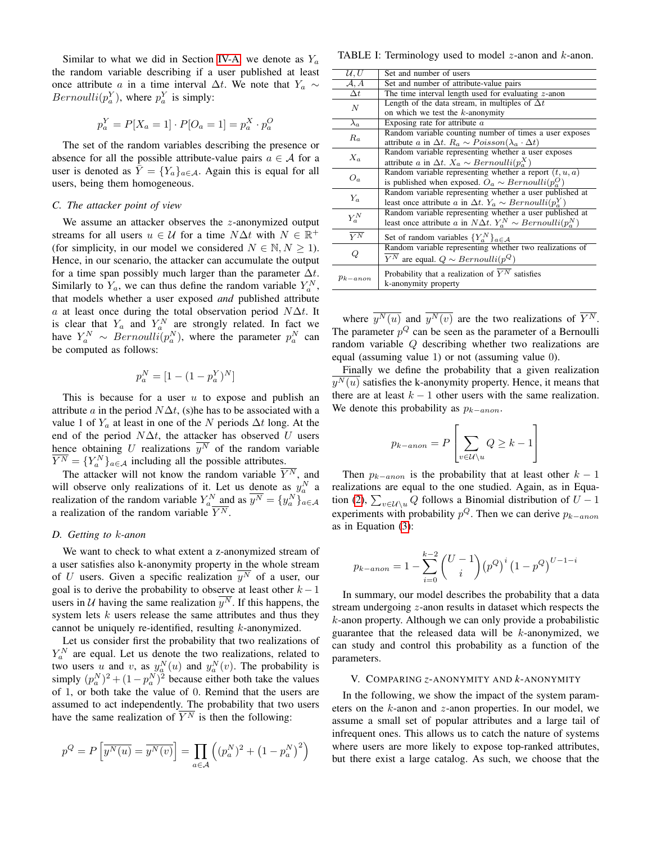Similar to what we did in Section [IV-A,](#page-3-4) we denote as  $Y_a$ the random variable describing if a user published at least once attribute a in a time interval  $\Delta t$ . We note that  $Y_a \sim$ *Bernoulli* $(p_a^Y)$ , where  $p_a^Y$  is simply:

$$
p_a^Y = P[X_a = 1] \cdot P[O_a = 1] = p_a^X \cdot p_a^O
$$

The set of the random variables describing the presence or absence for all the possible attribute-value pairs  $a \in \mathcal{A}$  for a user is denoted as  $\bar{Y} = \{Y_a\}_{a \in A}$ . Again this is equal for all users, being them homogeneous.

# *C. The attacker point of view*

We assume an attacker observes the  $z$ -anonymized output streams for all users  $u \in \mathcal{U}$  for a time  $N\Delta t$  with  $N \in \mathbb{R}^+$ (for simplicity, in our model we considered  $N \in \mathbb{N}, N \ge 1$ ). Hence, in our scenario, the attacker can accumulate the output for a time span possibly much larger than the parameter  $\Delta t$ . Similarly to  $Y_a$ , we can thus define the random variable  $Y_a^N$ , that models whether a user exposed *and* published attribute a at least once during the total observation period  $N\Delta t$ . It is clear that  $Y_a$  and  $Y_a^N$  are strongly related. In fact we have  $Y_a^N \sim Bernoulli(p_a^N)$ , where the parameter  $p_a^N$  can be computed as follows:

$$
p_a^N = [1 - (1 - p_a^Y)^N]
$$

This is because for a user  $u$  to expose and publish an attribute *a* in the period  $N\Delta t$ , (s)he has to be associated with a value 1 of  $Y_a$  at least in one of the N periods  $\Delta t$  long. At the end of the period  $N\Delta t$ , the attacker has observed U users hence obtaining U realizations  $\overline{y^N}$  of the random variable  $\overline{Y^N} = \{Y_a^N\}_{a \in \mathcal{A}}$  including all the possible attributes.

The attacker will not know the random variable  $\overline{Y^N}$ , and will observe only realizations of it. Let us denote as  $y_a^N$  a realization of the random variable  $Y_a^N$  and as  $\overline{y^N} = \{y_a^N\}_{a \in A}$ a realization of the random variable  $\overline{Y^N}$ .

# *D. Getting to* k*-anon*

We want to check to what extent a z-anonymized stream of a user satisfies also k-anonymity property in the whole stream of U users. Given a specific realization  $\overline{y^N}$  of a user, our goal is to derive the probability to observe at least other  $k - 1$ users in U having the same realization  $\overline{y^N}$ . If this happens, the system lets  $k$  users release the same attributes and thus they cannot be uniquely re-identified, resulting k-anonymized.

Let us consider first the probability that two realizations of  $Y_a^N$  are equal. Let us denote the two realizations, related to  $T_a$  are equal. Let us denote the two realizations, related to<br>two users u and v, as  $y_a^N(u)$  and  $y_a^N(v)$ . The probability is simply  $(p_a^N)^2 + (1 - p_a^N)^2$  because either both take the values of 1, or both take the value of 0. Remind that the users are assumed to act independently. The probability that two users have the same realization of  $\overline{Y^N}$  is then the following:

$$
p^{Q} = P\left[\overline{y^{N}(u)} = \overline{y^{N}(v)}\right] = \prod_{a \in \mathcal{A}} \left( (p_{a}^{N})^{2} + \left(1 - p_{a}^{N}\right)^{2} \right)
$$

TABLE I: Terminology used to model  $z$ -anon and  $k$ -anon.

| $\overline{\mathcal{U}, U}$ | Set and number of users                                                  |
|-----------------------------|--------------------------------------------------------------------------|
| A, A                        | Set and number of attribute-value pairs                                  |
| $\Delta t$                  | The time interval length used for evaluating $z$ -anon                   |
| $\overline{N}$              | Length of the data stream, in multiples of $\Delta t$                    |
|                             | on which we test the $k$ -anonymity                                      |
| $\lambda_a$                 | Exposing rate for attribute $a$                                          |
| $R_a$                       | Random variable counting number of times a user exposes                  |
|                             | attribute a in $\Delta t$ . $R_a \sim Poisson(\lambda_a \cdot \Delta t)$ |
| $X_a$                       | Random variable representing whether a user exposes                      |
|                             | attribute a in $\Delta t$ . $X_a \sim Bernoulli(p_a^X)$                  |
| $O_a$                       | Random variable representing whether a report $(t, u, a)$                |
|                             | is published when exposed. $O_a \sim Bernoulli(p_a^O)$                   |
| $Y_a$                       | Random variable representing whether a user published at                 |
|                             | least once attribute a in $\Delta t$ . $Y_a \sim Bernoulli(p_a^Y)$       |
| ${\cal Y}^N_a$              | Random variable representing whether a user published at                 |
|                             | least once attribute a in $N\Delta t$ . $Y_a^N \sim Bernoulli(p_a^N)$    |
| $\overline{Y^N}$            | Set of random variables $\{Y_a^N\}_{a \in \mathcal{A}}$                  |
| Q                           | Random variable representing whether two realizations of                 |
|                             | $\overline{Y^N}$ are equal. $Q \sim Bernoulli(p^Q)$                      |
|                             |                                                                          |
| $p_{k-anon}$                | Probability that a realization of $\overline{Y^N}$ satisfies             |
|                             | k-anonymity property                                                     |
|                             |                                                                          |

where  $\overline{y^N(u)}$  and  $\overline{y^N(v)}$  are the two realizations of  $\overline{Y^N}$ . The parameter  $p^Q$  can be seen as the parameter of a Bernoulli random variable Q describing whether two realizations are equal (assuming value 1) or not (assuming value 0).

Finally we define the probability that a given realization  $\overline{y^N(u)}$  satisfies the k-anonymity property. Hence, it means that there are at least  $k - 1$  other users with the same realization. We denote this probability as  $p_{k-anon}$ .

$$
p_{k-anon} = P\left[\sum_{v \in \mathcal{U}\backslash u} Q \ge k - 1\right]
$$

Then  $p_{k-anon}$  is the probability that at least other  $k-1$ realizations are equal to the one studied. Again, as in Equa-tion [\(2\)](#page-3-3),  $\sum_{v \in \mathcal{U} \setminus u} Q$  follows a Binomial distribution of  $U - 1$ experiments with probability  $p^Q$ . Then we can derive  $p_{k-anon}$ as in Equation [\(3\)](#page-3-5):

$$
p_{k-anon} = 1 - \sum_{i=0}^{k-2} {U-1 \choose i} (p^Q)^i (1-p^Q)^{U-1-i}
$$

In summary, our model describes the probability that a data stream undergoing z-anon results in dataset which respects the  $k$ -anon property. Although we can only provide a probabilistic guarantee that the released data will be  $k$ -anonymized, we can study and control this probability as a function of the parameters.

#### <span id="page-4-0"></span>V. COMPARING *z*-ANONYMITY AND *k*-ANONYMITY

In the following, we show the impact of the system parameters on the k-anon and z-anon properties. In our model, we assume a small set of popular attributes and a large tail of infrequent ones. This allows us to catch the nature of systems where users are more likely to expose top-ranked attributes, but there exist a large catalog. As such, we choose that the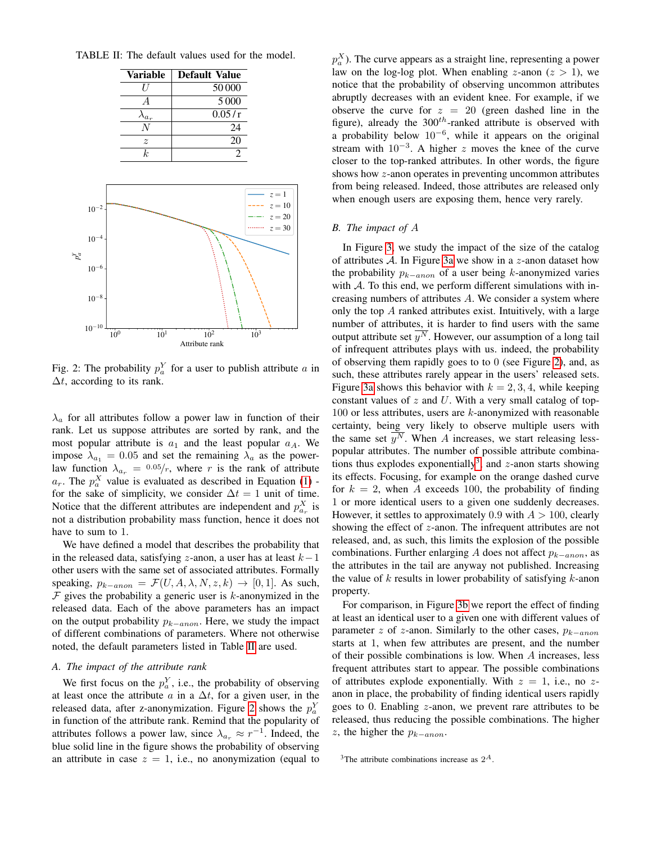<span id="page-5-1"></span>

<span id="page-5-0"></span>TABLE II: The default values used for the model.

Fig. 2: The probability  $p_a^Y$  for a user to publish attribute a in  $\Delta t$ , according to its rank.

 $\lambda_a$  for all attributes follow a power law in function of their rank. Let us suppose attributes are sorted by rank, and the most popular attribute is  $a_1$  and the least popular  $a_A$ . We impose  $\lambda_{a_1} = 0.05$  and set the remaining  $\lambda_a$  as the powerlaw function  $\lambda_{a_r} = 0.05/r$ , where r is the rank of attribute  $a_r$ . The  $p_a^X$  value is evaluated as described in Equation [\(1\)](#page-3-6) for the sake of simplicity, we consider  $\Delta t = 1$  unit of time. Notice that the different attributes are independent and  $p_{a_r}^X$  is not a distribution probability mass function, hence it does not have to sum to 1.

We have defined a model that describes the probability that in the released data, satisfying z-anon, a user has at least  $k-1$ other users with the same set of associated attributes. Formally speaking,  $p_{k-anon} = \mathcal{F}(U, A, \lambda, N, z, k) \rightarrow [0, 1]$ . As such,  $F$  gives the probability a generic user is k-anonymized in the released data. Each of the above parameters has an impact on the output probability  $p_{k-anon}$ . Here, we study the impact of different combinations of parameters. Where not otherwise noted, the default parameters listed in Table [II](#page-5-0) are used.

# *A. The impact of the attribute rank*

We first focus on the  $p_a^Y$ , i.e., the probability of observing at least once the attribute  $\alpha$  in a  $\Delta t$ , for a given user, in the released data, after z-anonymization. Figure [2](#page-5-1) shows the  $p_a^Y$ in function of the attribute rank. Remind that the popularity of attributes follows a power law, since  $\lambda_{a_r} \approx r^{-1}$ . Indeed, the blue solid line in the figure shows the probability of observing an attribute in case  $z = 1$ , i.e., no anonymization (equal to

 $p_a^X$ ). The curve appears as a straight line, representing a power law on the log-log plot. When enabling z-anon  $(z > 1)$ , we notice that the probability of observing uncommon attributes abruptly decreases with an evident knee. For example, if we observe the curve for  $z = 20$  (green dashed line in the figure), already the  $300<sup>th</sup>$ -ranked attribute is observed with a probability below  $10^{-6}$ , while it appears on the original stream with  $10^{-3}$ . A higher z moves the knee of the curve closer to the top-ranked attributes. In other words, the figure shows how z-anon operates in preventing uncommon attributes from being released. Indeed, those attributes are released only when enough users are exposing them, hence very rarely.

# *B. The impact of* A

In Figure [3,](#page-6-0) we study the impact of the size of the catalog of attributes  $A$ . In Figure [3a](#page-6-0) we show in a z-anon dataset how the probability  $p_{k-anon}$  of a user being k-anonymized varies with  $A$ . To this end, we perform different simulations with increasing numbers of attributes A. We consider a system where only the top A ranked attributes exist. Intuitively, with a large number of attributes, it is harder to find users with the same output attribute set  $\overline{y^N}$ . However, our assumption of a long tail of infrequent attributes plays with us. indeed, the probability of observing them rapidly goes to to 0 (see Figure [2\)](#page-5-1), and, as such, these attributes rarely appear in the users' released sets. Figure [3a](#page-6-0) shows this behavior with  $k = 2, 3, 4$ , while keeping constant values of  $z$  and  $U$ . With a very small catalog of top- $100$  or less attributes, users are  $k$ -anonymized with reasonable certainty, being very likely to observe multiple users with the same set  $y^N$ . When A increases, we start releasing lesspopular attributes. The number of possible attribute combina-tions thus explodes exponentially<sup>[3](#page-5-2)</sup>, and  $z$ -anon starts showing its effects. Focusing, for example on the orange dashed curve for  $k = 2$ , when A exceeds 100, the probability of finding 1 or more identical users to a given one suddenly decreases. However, it settles to approximately 0.9 with  $A > 100$ , clearly showing the effect of z-anon. The infrequent attributes are not released, and, as such, this limits the explosion of the possible combinations. Further enlarging A does not affect  $p_{k-anon}$ , as the attributes in the tail are anyway not published. Increasing the value of  $k$  results in lower probability of satisfying  $k$ -anon property.

For comparison, in Figure [3b](#page-6-0) we report the effect of finding at least an identical user to a given one with different values of parameter z of z-anon. Similarly to the other cases,  $p_{k-anon}$ starts at 1, when few attributes are present, and the number of their possible combinations is low. When A increases, less frequent attributes start to appear. The possible combinations of attributes explode exponentially. With  $z = 1$ , i.e., no zanon in place, the probability of finding identical users rapidly goes to 0. Enabling z-anon, we prevent rare attributes to be released, thus reducing the possible combinations. The higher z, the higher the  $p_{k-anon}$ .

<span id="page-5-2"></span><sup>&</sup>lt;sup>3</sup>The attribute combinations increase as  $2^A$ .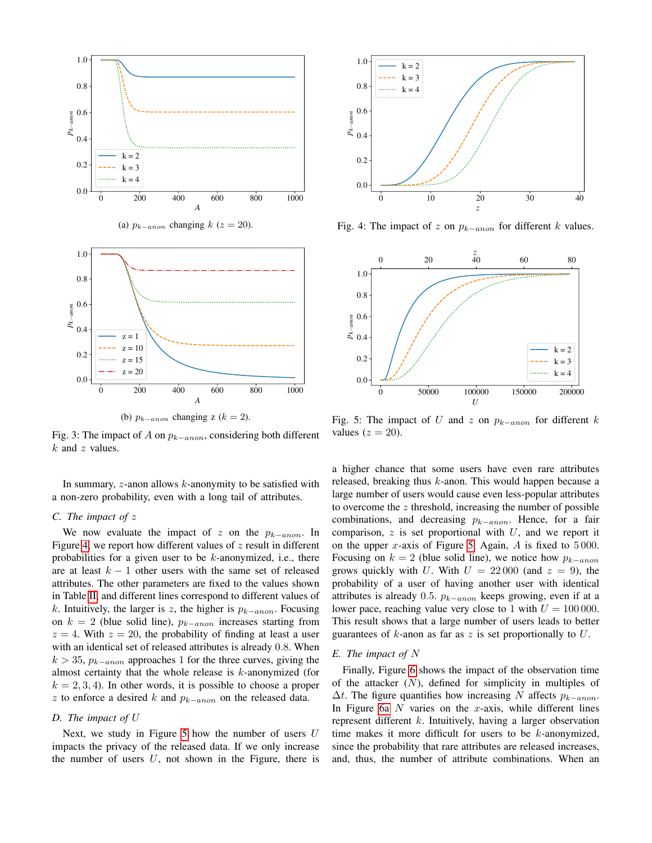<span id="page-6-0"></span>

Fig. 3: The impact of A on  $p_{k-anon}$ , considering both different  $k$  and  $z$  values.

In summary,  $z$ -anon allows  $k$ -anonymity to be satisfied with a non-zero probability, even with a long tail of attributes.

# *C. The impact of* z

We now evaluate the impact of z on the  $p_{k-anon}$ . In Figure [4,](#page-6-1) we report how different values of  $z$  result in different probabilities for a given user to be  $k$ -anonymized, i.e., there are at least  $k - 1$  other users with the same set of released attributes. The other parameters are fixed to the values shown in Table [II,](#page-5-0) and different lines correspond to different values of k. Intuitively, the larger is z, the higher is  $p_{k-anon}$ . Focusing on  $k = 2$  (blue solid line),  $p_{k-anon}$  increases starting from  $z = 4$ . With  $z = 20$ , the probability of finding at least a user with an identical set of released attributes is already 0.8. When  $k > 35$ ,  $p_{k-anon}$  approaches 1 for the three curves, giving the almost certainty that the whole release is  $k$ -anonymized (for  $k = 2, 3, 4$ ). In other words, it is possible to choose a proper z to enforce a desired k and  $p_{k-anon}$  on the released data.

## *D. The impact of* U

Next, we study in Figure [5](#page-6-2) how the number of users  $U$ impacts the privacy of the released data. If we only increase the number of users  $U$ , not shown in the Figure, there is

<span id="page-6-1"></span>

Fig. 4: The impact of z on  $p_{k-anon}$  for different k values.

<span id="page-6-2"></span>

Fig. 5: The impact of U and z on  $p_{k-anon}$  for different k values  $(z = 20)$ .

a higher chance that some users have even rare attributes released, breaking thus  $k$ -anon. This would happen because a large number of users would cause even less-popular attributes to overcome the  $z$  threshold, increasing the number of possible combinations, and decreasing  $p_{k-anon}$ . Hence, for a fair comparison,  $z$  is set proportional with  $U$ , and we report it on the upper x-axis of Figure [5.](#page-6-2) Again,  $\hat{A}$  is fixed to 5000. Focusing on  $k = 2$  (blue solid line), we notice how  $p_{k-anon}$ grows quickly with U. With  $U = 22000$  (and  $z = 9$ ), the probability of a user of having another user with identical attributes is already 0.5.  $p_{k-anon}$  keeps growing, even if at a lower pace, reaching value very close to 1 with  $U = 100000$ . This result shows that a large number of users leads to better guarantees of k-anon as far as z is set proportionally to  $U$ .

# *E. The impact of* N

Finally, Figure [6](#page-7-1) shows the impact of the observation time of the attacker  $(N)$ , defined for simplicity in multiples of  $\Delta t$ . The figure quantifies how increasing N affects  $p_{k-anon}$ . In Figure [6a](#page-7-1)  $N$  varies on the  $x$ -axis, while different lines represent different  $k$ . Intuitively, having a larger observation time makes it more difficult for users to be  $k$ -anonymized, since the probability that rare attributes are released increases, and, thus, the number of attribute combinations. When an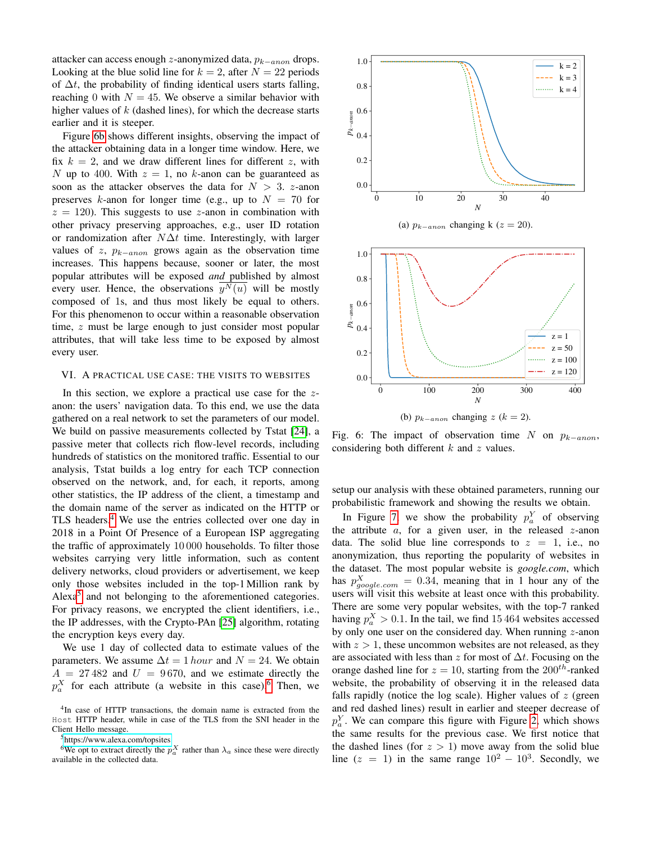attacker can access enough z-anonymized data,  $p_{k-anon}$  drops. Looking at the blue solid line for  $k = 2$ , after  $N = 22$  periods of  $\Delta t$ , the probability of finding identical users starts falling, reaching 0 with  $N = 45$ . We observe a similar behavior with higher values of  $k$  (dashed lines), for which the decrease starts earlier and it is steeper.

Figure [6b](#page-7-1) shows different insights, observing the impact of the attacker obtaining data in a longer time window. Here, we fix  $k = 2$ , and we draw different lines for different z, with N up to 400. With  $z = 1$ , no k-anon can be guaranteed as soon as the attacker observes the data for  $N > 3$ . z-anon preserves k-anon for longer time (e.g., up to  $N = 70$  for  $z = 120$ . This suggests to use z-anon in combination with other privacy preserving approaches, e.g., user ID rotation or randomization after  $N\Delta t$  time. Interestingly, with larger values of z,  $p_{k-anon}$  grows again as the observation time increases. This happens because, sooner or later, the most popular attributes will be exposed *and* published by almost every user. Hence, the observations  $y^N(u)$  will be mostly composed of 1s, and thus most likely be equal to others. For this phenomenon to occur within a reasonable observation time, z must be large enough to just consider most popular attributes, that will take less time to be exposed by almost every user.

## <span id="page-7-0"></span>VI. A PRACTICAL USE CASE: THE VISITS TO WEBSITES

In this section, we explore a practical use case for the zanon: the users' navigation data. To this end, we use the data gathered on a real network to set the parameters of our model. We build on passive measurements collected by Tstat [\[24\]](#page-9-22), a passive meter that collects rich flow-level records, including hundreds of statistics on the monitored traffic. Essential to our analysis, Tstat builds a log entry for each TCP connection observed on the network, and, for each, it reports, among other statistics, the IP address of the client, a timestamp and the domain name of the server as indicated on the HTTP or TLS headers.<sup>[4](#page-7-2)</sup> We use the entries collected over one day in 2018 in a Point Of Presence of a European ISP aggregating the traffic of approximately 10 000 households. To filter those websites carrying very little information, such as content delivery networks, cloud providers or advertisement, we keep only those websites included in the top-1 Million rank by Alexa<sup>[5](#page-7-3)</sup> and not belonging to the aforementioned categories. For privacy reasons, we encrypted the client identifiers, i.e., the IP addresses, with the Crypto-PAn [\[25\]](#page-9-23) algorithm, rotating the encryption keys every day.

We use 1 day of collected data to estimate values of the parameters. We assume  $\Delta t = 1$  hour and  $N = 24$ . We obtain  $A = 27 482$  and  $U = 9670$ , and we estimate directly the  $p_a^X$  for each attribute (a website in this case).<sup>[6](#page-7-4)</sup> Then, we

<span id="page-7-4"></span><span id="page-7-3"></span><sup>5</sup><https://www.alexa.com/topsites>

<sup>6</sup>We opt to extract directly the  $p_a^X$  rather than  $\lambda_a$  since these were directly available in the collected data.

<span id="page-7-1"></span>

(a)  $p_{k-anon}$  changing k ( $z = 20$ ).



Fig. 6: The impact of observation time N on  $p_{k-anon}$ , considering both different  $k$  and  $z$  values.

setup our analysis with these obtained parameters, running our probabilistic framework and showing the results we obtain.

In Figure [7,](#page-8-1) we show the probability  $p_a^Y$  of observing the attribute  $a$ , for a given user, in the released  $z$ -anon data. The solid blue line corresponds to  $z = 1$ , i.e., no anonymization, thus reporting the popularity of websites in the dataset. The most popular website is *google.com*, which has  $p_{g o o g le.com}^{X} = 0.34$ , meaning that in 1 hour any of the users will visit this website at least once with this probability. There are some very popular websites, with the top-7 ranked having  $p_a^X > 0.1$ . In the tail, we find 15 464 websites accessed by only one user on the considered day. When running  $z$ -anon with  $z > 1$ , these uncommon websites are not released, as they are associated with less than z for most of  $\Delta t$ . Focusing on the orange dashed line for  $z = 10$ , starting from the  $200^{th}$ -ranked website, the probability of observing it in the released data falls rapidly (notice the log scale). Higher values of  $z$  (green and red dashed lines) result in earlier and steeper decrease of  $p_a^Y$ . We can compare this figure with Figure [2,](#page-5-1) which shows the same results for the previous case. We first notice that the dashed lines (for  $z > 1$ ) move away from the solid blue line  $(z = 1)$  in the same range  $10^2 - 10^3$ . Secondly, we

<span id="page-7-2"></span><sup>4</sup> In case of HTTP transactions, the domain name is extracted from the Host HTTP header, while in case of the TLS from the SNI header in the Client Hello message.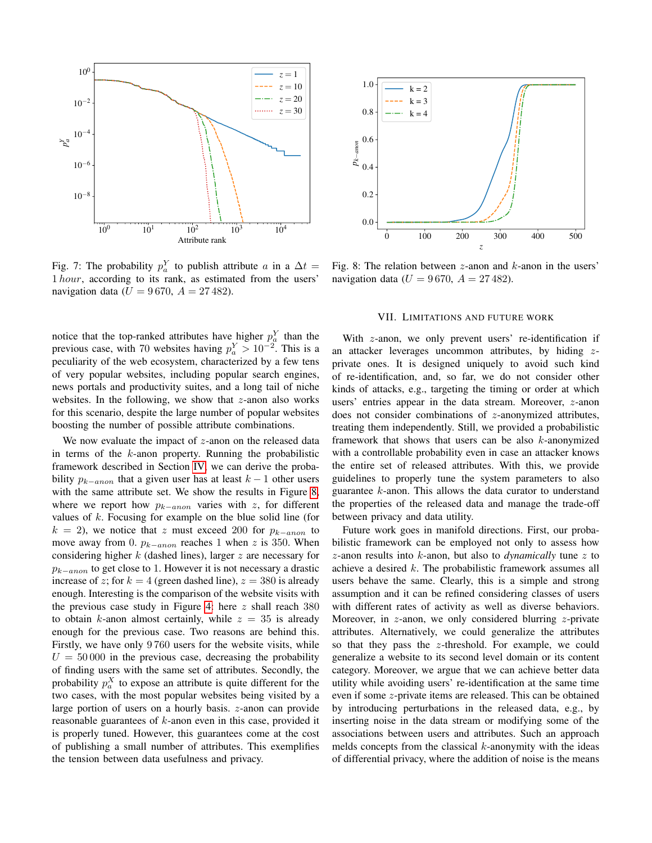<span id="page-8-1"></span>

Fig. 7: The probability  $p_a^Y$  to publish attribute a in a  $\Delta t =$ 1 hour, according to its rank, as estimated from the users' navigation data ( $U = 9670$ ,  $A = 27482$ ).

notice that the top-ranked attributes have higher  $p_a^Y$  than the previous case, with 70 websites having  $p_a^Y > 10^{-2}$ . This is a peculiarity of the web ecosystem, characterized by a few tens of very popular websites, including popular search engines, news portals and productivity suites, and a long tail of niche websites. In the following, we show that  $z$ -anon also works for this scenario, despite the large number of popular websites boosting the number of possible attribute combinations.

We now evaluate the impact of  $z$ -anon on the released data in terms of the  $k$ -anon property. Running the probabilistic framework described in Section [IV,](#page-3-0) we can derive the probability  $p_{k-anon}$  that a given user has at least  $k-1$  other users with the same attribute set. We show the results in Figure [8,](#page-8-2) where we report how  $p_{k-anon}$  varies with z, for different values of  $k$ . Focusing for example on the blue solid line (for  $k = 2$ ), we notice that z must exceed 200 for  $p_{k-anon}$  to move away from 0.  $p_{k-anon}$  reaches 1 when z is 350. When considering higher  $k$  (dashed lines), larger  $z$  are necessary for  $p_{k-anon}$  to get close to 1. However it is not necessary a drastic increase of z; for  $k = 4$  (green dashed line),  $z = 380$  is already enough. Interesting is the comparison of the website visits with the previous case study in Figure [4:](#page-6-1) here  $z$  shall reach 380 to obtain k-anon almost certainly, while  $z = 35$  is already enough for the previous case. Two reasons are behind this. Firstly, we have only 9 760 users for the website visits, while  $U = 50000$  in the previous case, decreasing the probability of finding users with the same set of attributes. Secondly, the probability  $p_a^X$  to expose an attribute is quite different for the two cases, with the most popular websites being visited by a large portion of users on a hourly basis. z-anon can provide reasonable guarantees of  $k$ -anon even in this case, provided it is properly tuned. However, this guarantees come at the cost of publishing a small number of attributes. This exemplifies the tension between data usefulness and privacy.

<span id="page-8-2"></span>

Fig. 8: The relation between  $z$ -anon and  $k$ -anon in the users' navigation data ( $U = 9670$ ,  $A = 27482$ ).

## VII. LIMITATIONS AND FUTURE WORK

<span id="page-8-0"></span>With z-anon, we only prevent users' re-identification if an attacker leverages uncommon attributes, by hiding  $z$ private ones. It is designed uniquely to avoid such kind of re-identification, and, so far, we do not consider other kinds of attacks, e.g., targeting the timing or order at which users' entries appear in the data stream. Moreover, z-anon does not consider combinations of z-anonymized attributes, treating them independently. Still, we provided a probabilistic framework that shows that users can be also k-anonymized with a controllable probability even in case an attacker knows the entire set of released attributes. With this, we provide guidelines to properly tune the system parameters to also guarantee k-anon. This allows the data curator to understand the properties of the released data and manage the trade-off between privacy and data utility.

Future work goes in manifold directions. First, our probabilistic framework can be employed not only to assess how z-anon results into k-anon, but also to *dynamically* tune z to achieve a desired  $k$ . The probabilistic framework assumes all users behave the same. Clearly, this is a simple and strong assumption and it can be refined considering classes of users with different rates of activity as well as diverse behaviors. Moreover, in  $z$ -anon, we only considered blurring  $z$ -private attributes. Alternatively, we could generalize the attributes so that they pass the z-threshold. For example, we could generalize a website to its second level domain or its content category. Moreover, we argue that we can achieve better data utility while avoiding users' re-identification at the same time even if some z-private items are released. This can be obtained by introducing perturbations in the released data, e.g., by inserting noise in the data stream or modifying some of the associations between users and attributes. Such an approach melds concepts from the classical  $k$ -anonymity with the ideas of differential privacy, where the addition of noise is the means